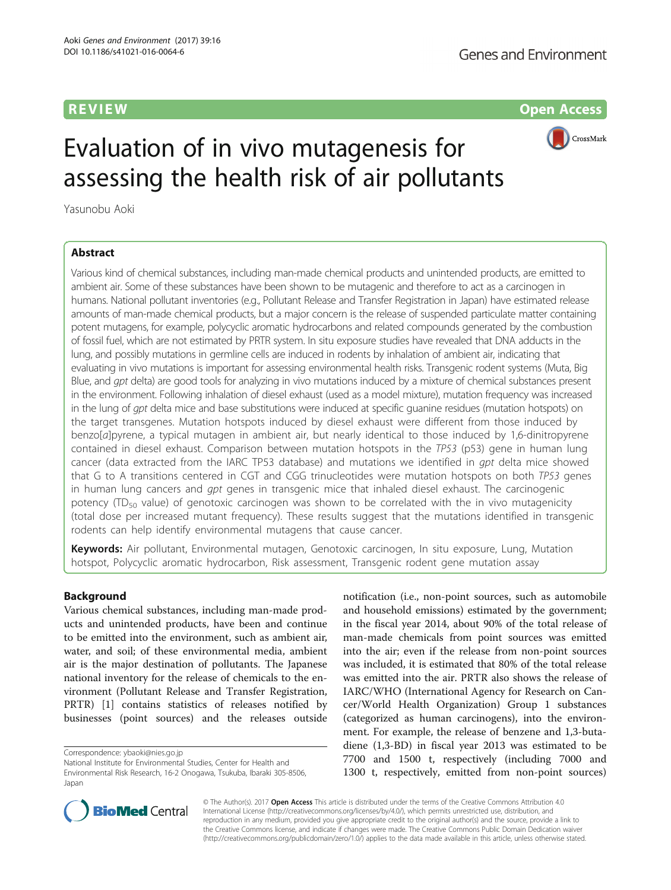**REVIEW CONSULTANT CONTROL** 



# Evaluation of in vivo mutagenesis for assessing the health risk of air pollutants

Yasunobu Aoki

# Abstract

Various kind of chemical substances, including man-made chemical products and unintended products, are emitted to ambient air. Some of these substances have been shown to be mutagenic and therefore to act as a carcinogen in humans. National pollutant inventories (e.g., Pollutant Release and Transfer Registration in Japan) have estimated release amounts of man-made chemical products, but a major concern is the release of suspended particulate matter containing potent mutagens, for example, polycyclic aromatic hydrocarbons and related compounds generated by the combustion of fossil fuel, which are not estimated by PRTR system. In situ exposure studies have revealed that DNA adducts in the lung, and possibly mutations in germline cells are induced in rodents by inhalation of ambient air, indicating that evaluating in vivo mutations is important for assessing environmental health risks. Transgenic rodent systems (Muta, Big Blue, and qpt delta) are good tools for analyzing in vivo mutations induced by a mixture of chemical substances present in the environment. Following inhalation of diesel exhaust (used as a model mixture), mutation frequency was increased in the lung of gpt delta mice and base substitutions were induced at specific guanine residues (mutation hotspots) on the target transgenes. Mutation hotspots induced by diesel exhaust were different from those induced by benzo[a]pyrene, a typical mutagen in ambient air, but nearly identical to those induced by 1,6-dinitropyrene contained in diesel exhaust. Comparison between mutation hotspots in the TP53 (p53) gene in human lung cancer (data extracted from the IARC TP53 database) and mutations we identified in gpt delta mice showed that G to A transitions centered in CGT and CGG trinucleotides were mutation hotspots on both TP53 genes in human lung cancers and *qpt* genes in transgenic mice that inhaled diesel exhaust. The carcinogenic potency (TD<sub>50</sub> value) of genotoxic carcinogen was shown to be correlated with the in vivo mutagenicity (total dose per increased mutant frequency). These results suggest that the mutations identified in transgenic rodents can help identify environmental mutagens that cause cancer.

Keywords: Air pollutant, Environmental mutagen, Genotoxic carcinogen, In situ exposure, Lung, Mutation hotspot, Polycyclic aromatic hydrocarbon, Risk assessment, Transgenic rodent gene mutation assay

# Background

Various chemical substances, including man-made products and unintended products, have been and continue to be emitted into the environment, such as ambient air, water, and soil; of these environmental media, ambient air is the major destination of pollutants. The Japanese national inventory for the release of chemicals to the environment (Pollutant Release and Transfer Registration, PRTR) [[1](#page-9-0)] contains statistics of releases notified by businesses (point sources) and the releases outside

Correspondence: [ybaoki@nies.go.jp](mailto:ybaoki@nies.go.jp)

National Institute for Environmental Studies, Center for Health and Environmental Risk Research, 16-2 Onogawa, Tsukuba, Ibaraki 305-8506, Japan

notification (i.e., non-point sources, such as automobile and household emissions) estimated by the government; in the fiscal year 2014, about 90% of the total release of man-made chemicals from point sources was emitted into the air; even if the release from non-point sources was included, it is estimated that 80% of the total release was emitted into the air. PRTR also shows the release of IARC/WHO (International Agency for Research on Cancer/World Health Organization) Group 1 substances (categorized as human carcinogens), into the environment. For example, the release of benzene and 1,3-butadiene (1,3-BD) in fiscal year 2013 was estimated to be 7700 and 1500 t, respectively (including 7000 and 1300 t, respectively, emitted from non-point sources)



© The Author(s). 2017 **Open Access** This article is distributed under the terms of the Creative Commons Attribution 4.0 International License [\(http://creativecommons.org/licenses/by/4.0/](http://creativecommons.org/licenses/by/4.0/)), which permits unrestricted use, distribution, and reproduction in any medium, provided you give appropriate credit to the original author(s) and the source, provide a link to the Creative Commons license, and indicate if changes were made. The Creative Commons Public Domain Dedication waiver [\(http://creativecommons.org/publicdomain/zero/1.0/](http://creativecommons.org/publicdomain/zero/1.0/)) applies to the data made available in this article, unless otherwise stated.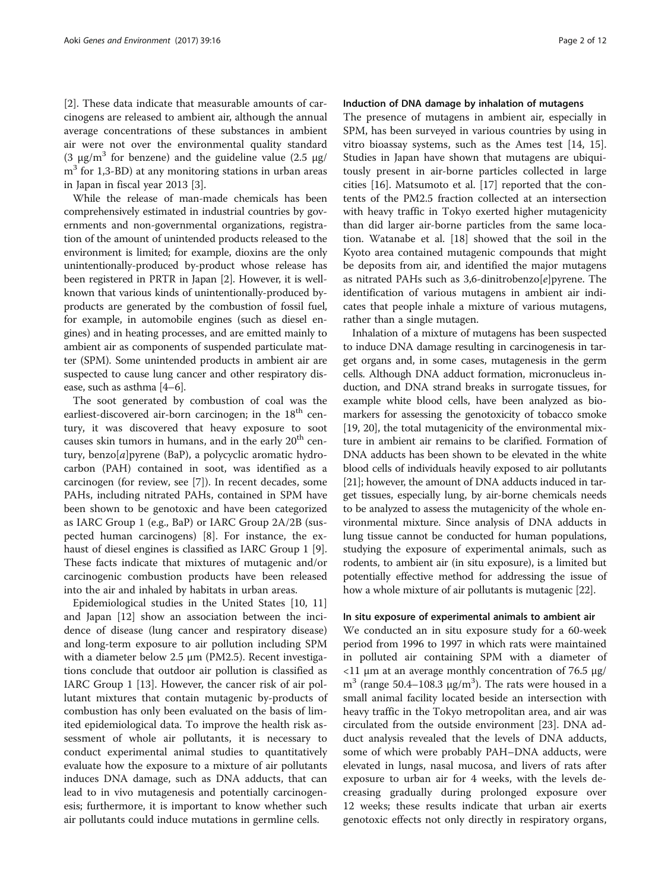[[2\]](#page-9-0). These data indicate that measurable amounts of carcinogens are released to ambient air, although the annual average concentrations of these substances in ambient air were not over the environmental quality standard (3 μg/m<sup>3</sup> for benzene) and the guideline value (2.5 μg/  $m<sup>3</sup>$  for 1,3-BD) at any monitoring stations in urban areas in Japan in fiscal year 2013 [[3\]](#page-9-0).

While the release of man-made chemicals has been comprehensively estimated in industrial countries by governments and non-governmental organizations, registration of the amount of unintended products released to the environment is limited; for example, dioxins are the only unintentionally-produced by-product whose release has been registered in PRTR in Japan [[2\]](#page-9-0). However, it is wellknown that various kinds of unintentionally-produced byproducts are generated by the combustion of fossil fuel, for example, in automobile engines (such as diesel engines) and in heating processes, and are emitted mainly to ambient air as components of suspended particulate matter (SPM). Some unintended products in ambient air are suspected to cause lung cancer and other respiratory disease, such as asthma [[4](#page-9-0)–[6](#page-9-0)].

The soot generated by combustion of coal was the earliest-discovered air-born carcinogen; in the  $18<sup>th</sup>$  century, it was discovered that heavy exposure to soot causes skin tumors in humans, and in the early  $20<sup>th</sup>$  century, benzo[a]pyrene (BaP), a polycyclic aromatic hydrocarbon (PAH) contained in soot, was identified as a carcinogen (for review, see [[7\]](#page-9-0)). In recent decades, some PAHs, including nitrated PAHs, contained in SPM have been shown to be genotoxic and have been categorized as IARC Group 1 (e.g., BaP) or IARC Group 2A/2B (suspected human carcinogens) [\[8](#page-9-0)]. For instance, the exhaust of diesel engines is classified as IARC Group 1 [\[9](#page-9-0)]. These facts indicate that mixtures of mutagenic and/or carcinogenic combustion products have been released into the air and inhaled by habitats in urban areas.

Epidemiological studies in the United States [\[10, 11](#page-9-0)] and Japan [\[12\]](#page-9-0) show an association between the incidence of disease (lung cancer and respiratory disease) and long-term exposure to air pollution including SPM with a diameter below 2.5 μm (PM2.5). Recent investigations conclude that outdoor air pollution is classified as IARC Group 1 [\[13](#page-9-0)]. However, the cancer risk of air pollutant mixtures that contain mutagenic by-products of combustion has only been evaluated on the basis of limited epidemiological data. To improve the health risk assessment of whole air pollutants, it is necessary to conduct experimental animal studies to quantitatively evaluate how the exposure to a mixture of air pollutants induces DNA damage, such as DNA adducts, that can lead to in vivo mutagenesis and potentially carcinogenesis; furthermore, it is important to know whether such air pollutants could induce mutations in germline cells.

#### Induction of DNA damage by inhalation of mutagens

The presence of mutagens in ambient air, especially in SPM, has been surveyed in various countries by using in vitro bioassay systems, such as the Ames test [\[14, 15](#page-9-0)]. Studies in Japan have shown that mutagens are ubiquitously present in air-borne particles collected in large cities [\[16](#page-9-0)]. Matsumoto et al. [[17\]](#page-9-0) reported that the contents of the PM2.5 fraction collected at an intersection with heavy traffic in Tokyo exerted higher mutagenicity than did larger air-borne particles from the same location. Watanabe et al. [[18\]](#page-9-0) showed that the soil in the Kyoto area contained mutagenic compounds that might be deposits from air, and identified the major mutagens as nitrated PAHs such as 3,6-dinitrobenzo[e]pyrene. The identification of various mutagens in ambient air indicates that people inhale a mixture of various mutagens, rather than a single mutagen.

Inhalation of a mixture of mutagens has been suspected to induce DNA damage resulting in carcinogenesis in target organs and, in some cases, mutagenesis in the germ cells. Although DNA adduct formation, micronucleus induction, and DNA strand breaks in surrogate tissues, for example white blood cells, have been analyzed as biomarkers for assessing the genotoxicity of tobacco smoke [[19](#page-9-0), [20](#page-9-0)], the total mutagenicity of the environmental mixture in ambient air remains to be clarified. Formation of DNA adducts has been shown to be elevated in the white blood cells of individuals heavily exposed to air pollutants [[21](#page-9-0)]; however, the amount of DNA adducts induced in target tissues, especially lung, by air-borne chemicals needs to be analyzed to assess the mutagenicity of the whole environmental mixture. Since analysis of DNA adducts in lung tissue cannot be conducted for human populations, studying the exposure of experimental animals, such as rodents, to ambient air (in situ exposure), is a limited but potentially effective method for addressing the issue of how a whole mixture of air pollutants is mutagenic [\[22\]](#page-9-0).

#### In situ exposure of experimental animals to ambient air

We conducted an in situ exposure study for a 60-week period from 1996 to 1997 in which rats were maintained in polluted air containing SPM with a diameter of  $11 \mu$ m at an average monthly concentration of 76.5 μg/ m<sup>3</sup> (range 50.4–108.3 μg/m<sup>3</sup>). The rats were housed in a small animal facility located beside an intersection with heavy traffic in the Tokyo metropolitan area, and air was circulated from the outside environment [\[23](#page-9-0)]. DNA adduct analysis revealed that the levels of DNA adducts, some of which were probably PAH–DNA adducts, were elevated in lungs, nasal mucosa, and livers of rats after exposure to urban air for 4 weeks, with the levels decreasing gradually during prolonged exposure over 12 weeks; these results indicate that urban air exerts genotoxic effects not only directly in respiratory organs,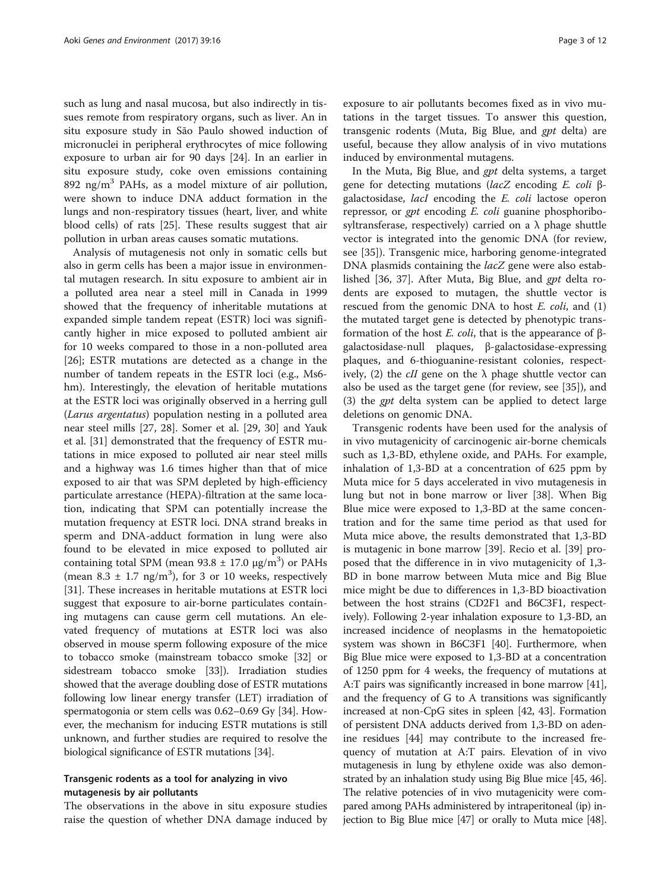such as lung and nasal mucosa, but also indirectly in tissues remote from respiratory organs, such as liver. An in situ exposure study in São Paulo showed induction of micronuclei in peripheral erythrocytes of mice following exposure to urban air for 90 days [\[24\]](#page-9-0). In an earlier in situ exposure study, coke oven emissions containing 892 ng/m<sup>3</sup> PAHs, as a model mixture of air pollution, were shown to induce DNA adduct formation in the lungs and non-respiratory tissues (heart, liver, and white blood cells) of rats [\[25\]](#page-9-0). These results suggest that air pollution in urban areas causes somatic mutations.

Analysis of mutagenesis not only in somatic cells but also in germ cells has been a major issue in environmental mutagen research. In situ exposure to ambient air in a polluted area near a steel mill in Canada in 1999 showed that the frequency of inheritable mutations at expanded simple tandem repeat (ESTR) loci was significantly higher in mice exposed to polluted ambient air for 10 weeks compared to those in a non-polluted area [[26\]](#page-9-0); ESTR mutations are detected as a change in the number of tandem repeats in the ESTR loci (e.g., Ms6 hm). Interestingly, the elevation of heritable mutations at the ESTR loci was originally observed in a herring gull (Larus argentatus) population nesting in a polluted area near steel mills [[27, 28\]](#page-9-0). Somer et al. [\[29](#page-9-0), [30\]](#page-9-0) and Yauk et al. [[31](#page-9-0)] demonstrated that the frequency of ESTR mutations in mice exposed to polluted air near steel mills and a highway was 1.6 times higher than that of mice exposed to air that was SPM depleted by high-efficiency particulate arrestance (HEPA)-filtration at the same location, indicating that SPM can potentially increase the mutation frequency at ESTR loci. DNA strand breaks in sperm and DNA-adduct formation in lung were also found to be elevated in mice exposed to polluted air containing total SPM (mean  $93.8 \pm 17.0$   $\mu$ g/m<sup>3</sup>) or PAHs (mean  $8.3 \pm 1.7$  ng/m<sup>3</sup>), for 3 or 10 weeks, respectively [[31\]](#page-9-0). These increases in heritable mutations at ESTR loci suggest that exposure to air-borne particulates containing mutagens can cause germ cell mutations. An elevated frequency of mutations at ESTR loci was also observed in mouse sperm following exposure of the mice to tobacco smoke (mainstream tobacco smoke [[32](#page-9-0)] or sidestream tobacco smoke [\[33\]](#page-9-0)). Irradiation studies showed that the average doubling dose of ESTR mutations following low linear energy transfer (LET) irradiation of spermatogonia or stem cells was 0.62–0.69 Gy [[34\]](#page-9-0). However, the mechanism for inducing ESTR mutations is still unknown, and further studies are required to resolve the biological significance of ESTR mutations [\[34](#page-9-0)].

#### Transgenic rodents as a tool for analyzing in vivo mutagenesis by air pollutants

The observations in the above in situ exposure studies raise the question of whether DNA damage induced by

exposure to air pollutants becomes fixed as in vivo mutations in the target tissues. To answer this question, transgenic rodents (Muta, Big Blue, and gpt delta) are useful, because they allow analysis of in vivo mutations induced by environmental mutagens.

In the Muta, Big Blue, and gpt delta systems, a target gene for detecting mutations (lacZ encoding E. coli <sup>β</sup>galactosidase, lacI encoding the E. coli lactose operon repressor, or gpt encoding E. coli guanine phosphoribosyltransferase, respectively) carried on a  $\lambda$  phage shuttle vector is integrated into the genomic DNA (for review, see [[35](#page-9-0)]). Transgenic mice, harboring genome-integrated DNA plasmids containing the *lacZ* gene were also established [[36, 37\]](#page-9-0). After Muta, Big Blue, and gpt delta rodents are exposed to mutagen, the shuttle vector is rescued from the genomic DNA to host E. coli, and (1) the mutated target gene is detected by phenotypic transformation of the host E. coli, that is the appearance of <sup>β</sup>galactosidase-null plaques, β-galactosidase-expressing plaques, and 6-thioguanine-resistant colonies, respectively, (2) the *cII* gene on the  $\lambda$  phage shuttle vector can also be used as the target gene (for review, see [\[35\]](#page-9-0)), and (3) the gpt delta system can be applied to detect large deletions on genomic DNA.

Transgenic rodents have been used for the analysis of in vivo mutagenicity of carcinogenic air-borne chemicals such as 1,3-BD, ethylene oxide, and PAHs. For example, inhalation of 1,3-BD at a concentration of 625 ppm by Muta mice for 5 days accelerated in vivo mutagenesis in lung but not in bone marrow or liver [\[38\]](#page-9-0). When Big Blue mice were exposed to 1,3-BD at the same concentration and for the same time period as that used for Muta mice above, the results demonstrated that 1,3-BD is mutagenic in bone marrow [[39](#page-9-0)]. Recio et al. [[39](#page-9-0)] proposed that the difference in in vivo mutagenicity of 1,3- BD in bone marrow between Muta mice and Big Blue mice might be due to differences in 1,3-BD bioactivation between the host strains (CD2F1 and B6C3F1, respectively). Following 2-year inhalation exposure to 1,3-BD, an increased incidence of neoplasms in the hematopoietic system was shown in B6C3F1 [\[40](#page-9-0)]. Furthermore, when Big Blue mice were exposed to 1,3-BD at a concentration of 1250 ppm for 4 weeks, the frequency of mutations at A:T pairs was significantly increased in bone marrow [[41](#page-9-0)], and the frequency of G to A transitions was significantly increased at non-CpG sites in spleen [[42](#page-10-0), [43\]](#page-10-0). Formation of persistent DNA adducts derived from 1,3-BD on adenine residues [\[44\]](#page-10-0) may contribute to the increased frequency of mutation at A:T pairs. Elevation of in vivo mutagenesis in lung by ethylene oxide was also demonstrated by an inhalation study using Big Blue mice [\[45](#page-10-0), [46](#page-10-0)]. The relative potencies of in vivo mutagenicity were compared among PAHs administered by intraperitoneal (ip) injection to Big Blue mice [[47](#page-10-0)] or orally to Muta mice [\[48](#page-10-0)].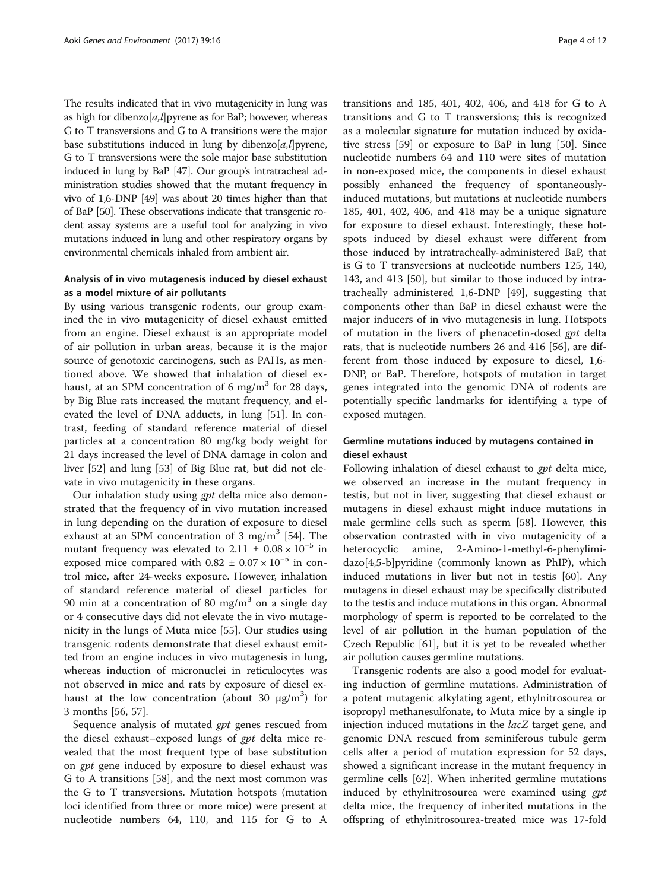The results indicated that in vivo mutagenicity in lung was as high for dibenzo[ $a, l$ ] pyrene as for BaP; however, whereas G to T transversions and G to A transitions were the major base substitutions induced in lung by dibenzo[a,l] pyrene, G to T transversions were the sole major base substitution induced in lung by BaP [\[47](#page-10-0)]. Our group's intratracheal administration studies showed that the mutant frequency in vivo of 1,6-DNP [\[49\]](#page-10-0) was about 20 times higher than that of BaP [\[50\]](#page-10-0). These observations indicate that transgenic rodent assay systems are a useful tool for analyzing in vivo mutations induced in lung and other respiratory organs by environmental chemicals inhaled from ambient air.

# Analysis of in vivo mutagenesis induced by diesel exhaust as a model mixture of air pollutants

By using various transgenic rodents, our group examined the in vivo mutagenicity of diesel exhaust emitted from an engine. Diesel exhaust is an appropriate model of air pollution in urban areas, because it is the major source of genotoxic carcinogens, such as PAHs, as mentioned above. We showed that inhalation of diesel exhaust, at an SPM concentration of 6 mg/m<sup>3</sup> for 28 days, by Big Blue rats increased the mutant frequency, and elevated the level of DNA adducts, in lung [[51\]](#page-10-0). In contrast, feeding of standard reference material of diesel particles at a concentration 80 mg/kg body weight for 21 days increased the level of DNA damage in colon and liver [\[52\]](#page-10-0) and lung [\[53\]](#page-10-0) of Big Blue rat, but did not elevate in vivo mutagenicity in these organs.

Our inhalation study using gpt delta mice also demonstrated that the frequency of in vivo mutation increased in lung depending on the duration of exposure to diesel exhaust at an SPM concentration of 3 mg/m<sup>3</sup> [[54](#page-10-0)]. The mutant frequency was elevated to  $2.11 \pm 0.08 \times 10^{-5}$  in exposed mice compared with  $0.82 \pm 0.07 \times 10^{-5}$  in control mice, after 24-weeks exposure. However, inhalation of standard reference material of diesel particles for 90 min at a concentration of 80 mg/m<sup>3</sup> on a single day or 4 consecutive days did not elevate the in vivo mutagenicity in the lungs of Muta mice [\[55](#page-10-0)]. Our studies using transgenic rodents demonstrate that diesel exhaust emitted from an engine induces in vivo mutagenesis in lung, whereas induction of micronuclei in reticulocytes was not observed in mice and rats by exposure of diesel exhaust at the low concentration (about 30  $\mu$ g/m<sup>3</sup>) for 3 months [[56](#page-10-0), [57](#page-10-0)].

Sequence analysis of mutated gpt genes rescued from the diesel exhaust–exposed lungs of gpt delta mice revealed that the most frequent type of base substitution on gpt gene induced by exposure to diesel exhaust was G to A transitions [\[58](#page-10-0)], and the next most common was the G to T transversions. Mutation hotspots (mutation loci identified from three or more mice) were present at nucleotide numbers 64, 110, and 115 for G to A

transitions and 185, 401, 402, 406, and 418 for G to A transitions and G to T transversions; this is recognized as a molecular signature for mutation induced by oxidative stress [\[59\]](#page-10-0) or exposure to BaP in lung [\[50\]](#page-10-0). Since nucleotide numbers 64 and 110 were sites of mutation in non-exposed mice, the components in diesel exhaust possibly enhanced the frequency of spontaneouslyinduced mutations, but mutations at nucleotide numbers 185, 401, 402, 406, and 418 may be a unique signature for exposure to diesel exhaust. Interestingly, these hotspots induced by diesel exhaust were different from those induced by intratracheally-administered BaP, that is G to T transversions at nucleotide numbers 125, 140, 143, and 413 [\[50](#page-10-0)], but similar to those induced by intratracheally administered 1,6-DNP [\[49](#page-10-0)], suggesting that components other than BaP in diesel exhaust were the major inducers of in vivo mutagenesis in lung. Hotspots of mutation in the livers of phenacetin-dosed gpt delta rats, that is nucleotide numbers 26 and 416 [[56](#page-10-0)], are different from those induced by exposure to diesel, 1,6- DNP, or BaP. Therefore, hotspots of mutation in target genes integrated into the genomic DNA of rodents are potentially specific landmarks for identifying a type of exposed mutagen.

# Germline mutations induced by mutagens contained in diesel exhaust

Following inhalation of diesel exhaust to *gpt* delta mice, we observed an increase in the mutant frequency in testis, but not in liver, suggesting that diesel exhaust or mutagens in diesel exhaust might induce mutations in male germline cells such as sperm [\[58](#page-10-0)]. However, this observation contrasted with in vivo mutagenicity of a heterocyclic amine, 2-Amino-1-methyl-6-phenylimidazo[4,5-b]pyridine (commonly known as PhIP), which induced mutations in liver but not in testis [[60\]](#page-10-0). Any mutagens in diesel exhaust may be specifically distributed to the testis and induce mutations in this organ. Abnormal morphology of sperm is reported to be correlated to the level of air pollution in the human population of the Czech Republic [[61](#page-10-0)], but it is yet to be revealed whether air pollution causes germline mutations.

Transgenic rodents are also a good model for evaluating induction of germline mutations. Administration of a potent mutagenic alkylating agent, ethylnitrosourea or isopropyl methanesulfonate, to Muta mice by a single ip injection induced mutations in the lacZ target gene, and genomic DNA rescued from seminiferous tubule germ cells after a period of mutation expression for 52 days, showed a significant increase in the mutant frequency in germline cells [\[62](#page-10-0)]. When inherited germline mutations induced by ethylnitrosourea were examined using gpt delta mice, the frequency of inherited mutations in the offspring of ethylnitrosourea-treated mice was 17-fold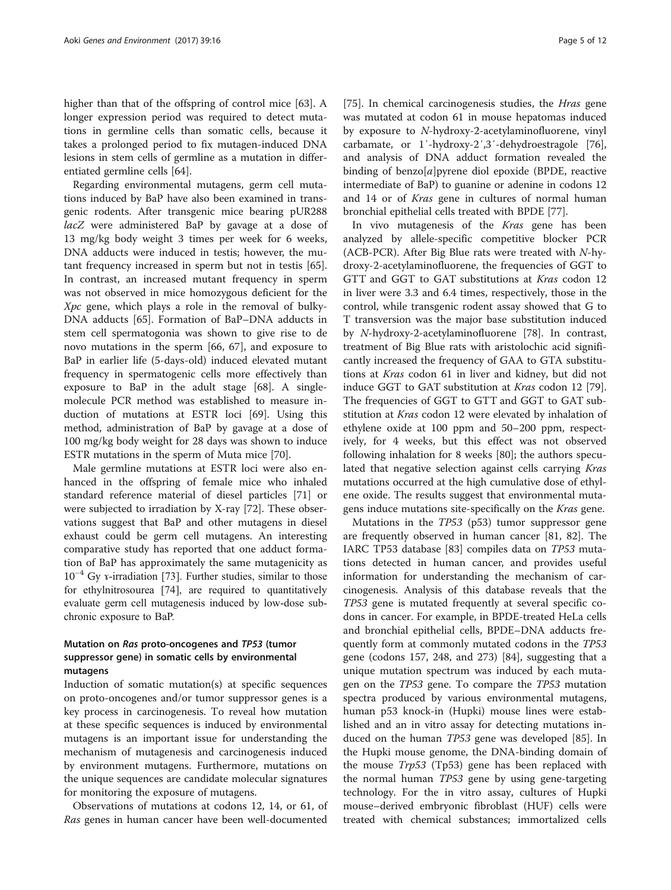higher than that of the offspring of control mice [\[63\]](#page-10-0). A longer expression period was required to detect mutations in germline cells than somatic cells, because it takes a prolonged period to fix mutagen-induced DNA lesions in stem cells of germline as a mutation in differentiated germline cells [\[64\]](#page-10-0).

Regarding environmental mutagens, germ cell mutations induced by BaP have also been examined in transgenic rodents. After transgenic mice bearing pUR288 lacZ were administered BaP by gavage at a dose of 13 mg/kg body weight 3 times per week for 6 weeks, DNA adducts were induced in testis; however, the mutant frequency increased in sperm but not in testis [\[65](#page-10-0)]. In contrast, an increased mutant frequency in sperm was not observed in mice homozygous deficient for the Xpc gene, which plays a role in the removal of bulky-DNA adducts [\[65](#page-10-0)]. Formation of BaP–DNA adducts in stem cell spermatogonia was shown to give rise to de novo mutations in the sperm [\[66](#page-10-0), [67](#page-10-0)], and exposure to BaP in earlier life (5-days-old) induced elevated mutant frequency in spermatogenic cells more effectively than exposure to BaP in the adult stage [\[68](#page-10-0)]. A singlemolecule PCR method was established to measure induction of mutations at ESTR loci [\[69\]](#page-10-0). Using this method, administration of BaP by gavage at a dose of 100 mg/kg body weight for 28 days was shown to induce ESTR mutations in the sperm of Muta mice [\[70](#page-10-0)].

Male germline mutations at ESTR loci were also enhanced in the offspring of female mice who inhaled standard reference material of diesel particles [\[71](#page-10-0)] or were subjected to irradiation by X-ray [\[72](#page-10-0)]. These observations suggest that BaP and other mutagens in diesel exhaust could be germ cell mutagens. An interesting comparative study has reported that one adduct formation of BaP has approximately the same mutagenicity as 10−<sup>4</sup> Gy ɤ-irradiation [\[73](#page-10-0)]. Further studies, similar to those for ethylnitrosourea [\[74\]](#page-10-0), are required to quantitatively evaluate germ cell mutagenesis induced by low-dose subchronic exposure to BaP.

# Mutation on Ras proto-oncogenes and TP53 (tumor suppressor gene) in somatic cells by environmental mutagens

Induction of somatic mutation(s) at specific sequences on proto-oncogenes and/or tumor suppressor genes is a key process in carcinogenesis. To reveal how mutation at these specific sequences is induced by environmental mutagens is an important issue for understanding the mechanism of mutagenesis and carcinogenesis induced by environment mutagens. Furthermore, mutations on the unique sequences are candidate molecular signatures for monitoring the exposure of mutagens.

Observations of mutations at codons 12, 14, or 61, of Ras genes in human cancer have been well-documented

[[75\]](#page-10-0). In chemical carcinogenesis studies, the *Hras* gene was mutated at codon 61 in mouse hepatomas induced by exposure to N-hydroxy-2-acetylaminofluorene, vinyl carbamate, or 1′-hydroxy-2′,3′-dehydroestragole [\[76](#page-10-0)], and analysis of DNA adduct formation revealed the binding of benzo $[a]$ pyrene diol epoxide (BPDE, reactive intermediate of BaP) to guanine or adenine in codons 12 and 14 or of Kras gene in cultures of normal human bronchial epithelial cells treated with BPDE [\[77](#page-10-0)].

In vivo mutagenesis of the Kras gene has been analyzed by allele-specific competitive blocker PCR (ACB-PCR). After Big Blue rats were treated with N-hydroxy-2-acetylaminofluorene, the frequencies of GGT to GTT and GGT to GAT substitutions at Kras codon 12 in liver were 3.3 and 6.4 times, respectively, those in the control, while transgenic rodent assay showed that G to T transversion was the major base substitution induced by N-hydroxy-2-acetylaminofluorene [[78](#page-10-0)]. In contrast, treatment of Big Blue rats with aristolochic acid significantly increased the frequency of GAA to GTA substitutions at Kras codon 61 in liver and kidney, but did not induce GGT to GAT substitution at Kras codon 12 [\[79](#page-10-0)]. The frequencies of GGT to GTT and GGT to GAT substitution at *Kras* codon 12 were elevated by inhalation of ethylene oxide at 100 ppm and 50–200 ppm, respectively, for 4 weeks, but this effect was not observed following inhalation for 8 weeks [\[80](#page-10-0)]; the authors speculated that negative selection against cells carrying Kras mutations occurred at the high cumulative dose of ethylene oxide. The results suggest that environmental mutagens induce mutations site-specifically on the Kras gene.

Mutations in the TP53 (p53) tumor suppressor gene are frequently observed in human cancer [[81, 82\]](#page-10-0). The IARC TP53 database [\[83](#page-10-0)] compiles data on TP53 mutations detected in human cancer, and provides useful information for understanding the mechanism of carcinogenesis. Analysis of this database reveals that the TP53 gene is mutated frequently at several specific codons in cancer. For example, in BPDE-treated HeLa cells and bronchial epithelial cells, BPDE–DNA adducts frequently form at commonly mutated codons in the TP53 gene (codons 157, 248, and 273) [[84\]](#page-10-0), suggesting that a unique mutation spectrum was induced by each mutagen on the TP53 gene. To compare the TP53 mutation spectra produced by various environmental mutagens, human p53 knock-in (Hupki) mouse lines were established and an in vitro assay for detecting mutations induced on the human TP53 gene was developed [\[85\]](#page-11-0). In the Hupki mouse genome, the DNA-binding domain of the mouse Trp53 (Tp53) gene has been replaced with the normal human TP53 gene by using gene-targeting technology. For the in vitro assay, cultures of Hupki mouse–derived embryonic fibroblast (HUF) cells were treated with chemical substances; immortalized cells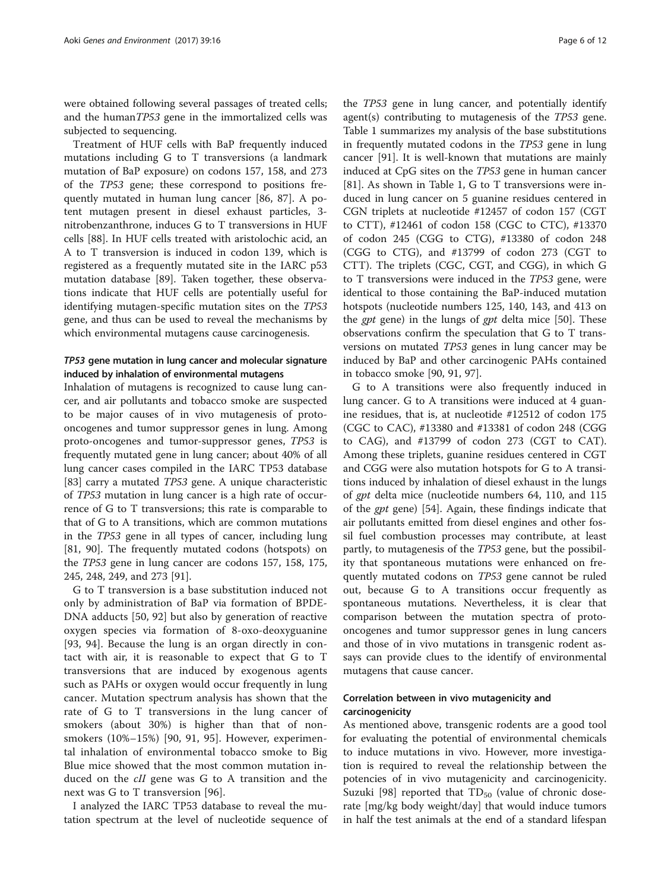were obtained following several passages of treated cells; and the humanTP53 gene in the immortalized cells was subjected to sequencing.

Treatment of HUF cells with BaP frequently induced mutations including G to T transversions (a landmark mutation of BaP exposure) on codons 157, 158, and 273 of the TP53 gene; these correspond to positions frequently mutated in human lung cancer [\[86](#page-11-0), [87](#page-11-0)]. A potent mutagen present in diesel exhaust particles, 3 nitrobenzanthrone, induces G to T transversions in HUF cells [[88\]](#page-11-0). In HUF cells treated with aristolochic acid, an A to T transversion is induced in codon 139, which is registered as a frequently mutated site in the IARC p53 mutation database [\[89](#page-11-0)]. Taken together, these observations indicate that HUF cells are potentially useful for identifying mutagen-specific mutation sites on the TP53 gene, and thus can be used to reveal the mechanisms by which environmental mutagens cause carcinogenesis.

# TP53 gene mutation in lung cancer and molecular signature induced by inhalation of environmental mutagens

Inhalation of mutagens is recognized to cause lung cancer, and air pollutants and tobacco smoke are suspected to be major causes of in vivo mutagenesis of protooncogenes and tumor suppressor genes in lung. Among proto-oncogenes and tumor-suppressor genes, TP53 is frequently mutated gene in lung cancer; about 40% of all lung cancer cases compiled in the IARC TP53 database [[83\]](#page-10-0) carry a mutated TP53 gene. A unique characteristic of TP53 mutation in lung cancer is a high rate of occurrence of G to T transversions; this rate is comparable to that of G to A transitions, which are common mutations in the TP53 gene in all types of cancer, including lung [[81,](#page-10-0) [90](#page-11-0)]. The frequently mutated codons (hotspots) on the TP53 gene in lung cancer are codons 157, 158, 175, 245, 248, 249, and 273 [[91\]](#page-11-0).

G to T transversion is a base substitution induced not only by administration of BaP via formation of BPDE-DNA adducts [[50,](#page-10-0) [92](#page-11-0)] but also by generation of reactive oxygen species via formation of 8-oxo-deoxyguanine [[93, 94](#page-11-0)]. Because the lung is an organ directly in contact with air, it is reasonable to expect that G to T transversions that are induced by exogenous agents such as PAHs or oxygen would occur frequently in lung cancer. Mutation spectrum analysis has shown that the rate of G to T transversions in the lung cancer of smokers (about 30%) is higher than that of nonsmokers (10%–15%) [[90, 91, 95](#page-11-0)]. However, experimental inhalation of environmental tobacco smoke to Big Blue mice showed that the most common mutation induced on the cII gene was G to A transition and the next was G to T transversion [[96\]](#page-11-0).

I analyzed the IARC TP53 database to reveal the mutation spectrum at the level of nucleotide sequence of

the TP53 gene in lung cancer, and potentially identify agent(s) contributing to mutagenesis of the TP53 gene. Table [1](#page-6-0) summarizes my analysis of the base substitutions in frequently mutated codons in the TP53 gene in lung cancer [[91](#page-11-0)]. It is well-known that mutations are mainly induced at CpG sites on the TP53 gene in human cancer [[81\]](#page-10-0). As shown in Table [1,](#page-6-0) G to T transversions were induced in lung cancer on 5 guanine residues centered in CGN triplets at nucleotide #12457 of codon 157 (CGT to CTT), #12461 of codon 158 (CGC to CTC), #13370 of codon 245 (CGG to CTG), #13380 of codon 248 (CGG to CTG), and #13799 of codon 273 (CGT to CTT). The triplets (CGC, CGT, and CGG), in which G to T transversions were induced in the TP53 gene, were identical to those containing the BaP-induced mutation hotspots (nucleotide numbers 125, 140, 143, and 413 on the *gpt* gene) in the lungs of *gpt* delta mice [\[50](#page-10-0)]. These observations confirm the speculation that G to T transversions on mutated TP53 genes in lung cancer may be induced by BaP and other carcinogenic PAHs contained in tobacco smoke [[90, 91, 97](#page-11-0)].

G to A transitions were also frequently induced in lung cancer. G to A transitions were induced at 4 guanine residues, that is, at nucleotide #12512 of codon 175 (CGC to CAC), #13380 and #13381 of codon 248 (CGG to CAG), and #13799 of codon 273 (CGT to CAT). Among these triplets, guanine residues centered in CGT and CGG were also mutation hotspots for G to A transitions induced by inhalation of diesel exhaust in the lungs of gpt delta mice (nucleotide numbers 64, 110, and 115 of the gpt gene) [[54](#page-10-0)]. Again, these findings indicate that air pollutants emitted from diesel engines and other fossil fuel combustion processes may contribute, at least partly, to mutagenesis of the TP53 gene, but the possibility that spontaneous mutations were enhanced on frequently mutated codons on TP53 gene cannot be ruled out, because G to A transitions occur frequently as spontaneous mutations. Nevertheless, it is clear that comparison between the mutation spectra of protooncogenes and tumor suppressor genes in lung cancers and those of in vivo mutations in transgenic rodent assays can provide clues to the identify of environmental mutagens that cause cancer.

# Correlation between in vivo mutagenicity and carcinogenicity

As mentioned above, transgenic rodents are a good tool for evaluating the potential of environmental chemicals to induce mutations in vivo. However, more investigation is required to reveal the relationship between the potencies of in vivo mutagenicity and carcinogenicity. Suzuki [\[98](#page-11-0)] reported that  $TD_{50}$  (value of chronic doserate [mg/kg body weight/day] that would induce tumors in half the test animals at the end of a standard lifespan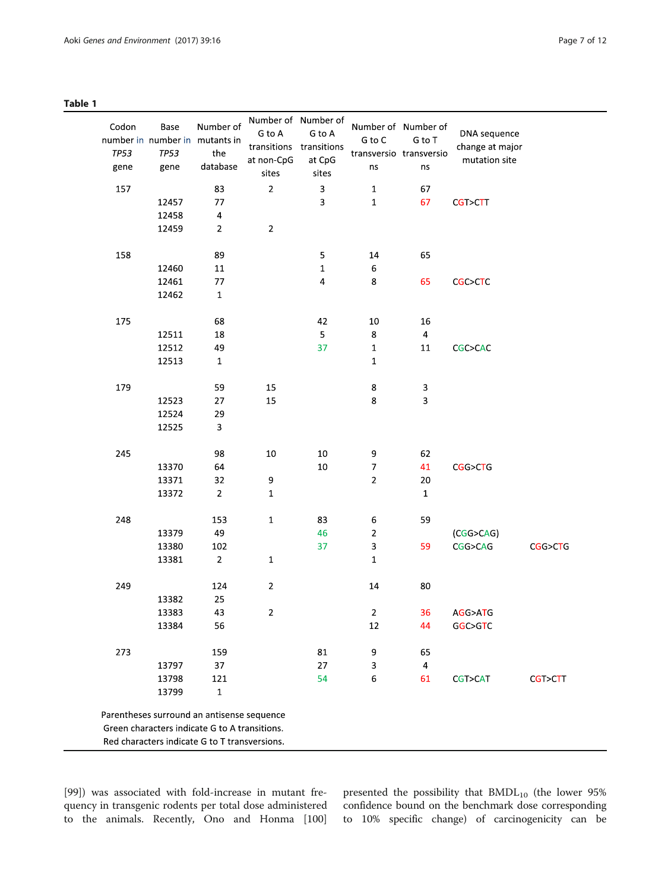<span id="page-6-0"></span>

| . .<br>× | $\sim$<br>۰.<br>× |  |
|----------|-------------------|--|
|----------|-------------------|--|

| Codon<br><b>TP53</b><br>gene                                                                                                                 | Base<br><b>TP53</b><br>gene | Number of<br>number in number in mutants in<br>the<br>database | Number of Number of<br>G to A<br>transitions transitions<br>at non-CpG<br>sites | G to A<br>at CpG<br>sites | G to C<br>transversio transversio<br>ns | Number of Number of<br>G to T<br>ns | DNA sequence<br>change at major<br>mutation site |         |
|----------------------------------------------------------------------------------------------------------------------------------------------|-----------------------------|----------------------------------------------------------------|---------------------------------------------------------------------------------|---------------------------|-----------------------------------------|-------------------------------------|--------------------------------------------------|---------|
| 157                                                                                                                                          |                             | 83                                                             | $\mathbf 2$                                                                     | 3                         | $\mathbf 1$                             | 67                                  |                                                  |         |
|                                                                                                                                              | 12457                       | 77                                                             |                                                                                 | 3                         | $\mathbf 1$                             | 67                                  | CGT>CTT                                          |         |
|                                                                                                                                              | 12458                       | 4                                                              |                                                                                 |                           |                                         |                                     |                                                  |         |
|                                                                                                                                              | 12459                       | $\overline{2}$                                                 | $\overline{2}$                                                                  |                           |                                         |                                     |                                                  |         |
| 158                                                                                                                                          |                             | 89                                                             |                                                                                 | 5                         | 14                                      | 65                                  |                                                  |         |
|                                                                                                                                              | 12460                       | $11\,$                                                         |                                                                                 | $\mathbf{1}$              | 6                                       |                                     |                                                  |         |
|                                                                                                                                              | 12461                       | 77                                                             |                                                                                 | 4                         | 8                                       | 65                                  | CGC>CTC                                          |         |
|                                                                                                                                              | 12462                       | $\mathbf{1}$                                                   |                                                                                 |                           |                                         |                                     |                                                  |         |
| 175                                                                                                                                          |                             | 68                                                             |                                                                                 | 42                        | 10                                      | 16                                  |                                                  |         |
|                                                                                                                                              | 12511                       | 18                                                             |                                                                                 | 5                         | 8                                       | $\overline{\mathbf{4}}$             |                                                  |         |
|                                                                                                                                              | 12512                       | 49                                                             |                                                                                 | 37                        | $\mathbf 1$                             | 11                                  | CGC>CAC                                          |         |
|                                                                                                                                              | 12513                       | $\mathbf 1$                                                    |                                                                                 |                           | $\mathbf 1$                             |                                     |                                                  |         |
| 179                                                                                                                                          |                             | 59                                                             | 15                                                                              |                           | $\bf 8$                                 | 3                                   |                                                  |         |
|                                                                                                                                              | 12523                       | 27                                                             | 15                                                                              |                           | 8                                       | 3                                   |                                                  |         |
|                                                                                                                                              | 12524                       | 29                                                             |                                                                                 |                           |                                         |                                     |                                                  |         |
|                                                                                                                                              | 12525                       | 3                                                              |                                                                                 |                           |                                         |                                     |                                                  |         |
| 245                                                                                                                                          |                             | 98                                                             | 10                                                                              | 10                        | 9                                       | 62                                  |                                                  |         |
|                                                                                                                                              | 13370                       | 64                                                             |                                                                                 | 10                        | $\overline{\mathcal{I}}$                | 41                                  | CGG>CTG                                          |         |
|                                                                                                                                              | 13371                       | 32                                                             | 9                                                                               |                           | $\overline{2}$                          | 20                                  |                                                  |         |
|                                                                                                                                              | 13372                       | $\overline{2}$                                                 | $\mathbf 1$                                                                     |                           |                                         | $1\,$                               |                                                  |         |
| 248                                                                                                                                          |                             | 153                                                            | $\mathbf{1}$                                                                    | 83                        | 6                                       | 59                                  |                                                  |         |
|                                                                                                                                              | 13379                       | 49                                                             |                                                                                 | 46                        | $\mathbf 2$                             |                                     | (CGG > CAG)                                      |         |
|                                                                                                                                              | 13380                       | 102                                                            |                                                                                 | 37                        | 3                                       | 59                                  | CGG>CAG                                          | CGG>CTG |
|                                                                                                                                              | 13381                       | $\overline{2}$                                                 | $\mathbf{1}$                                                                    |                           | $\mathbf 1$                             |                                     |                                                  |         |
| 249                                                                                                                                          |                             | 124                                                            | $\overline{2}$                                                                  |                           | 14                                      | 80                                  |                                                  |         |
|                                                                                                                                              | 13382                       | 25                                                             |                                                                                 |                           |                                         |                                     |                                                  |         |
|                                                                                                                                              | 13383                       | 43                                                             | $\overline{2}$                                                                  |                           | $\overline{2}$                          | 36                                  | AGG>ATG                                          |         |
|                                                                                                                                              | 13384                       | 56                                                             |                                                                                 |                           | 12                                      | 44                                  | GGC>GTC                                          |         |
| 273                                                                                                                                          |                             | 159                                                            |                                                                                 | 81                        | 9                                       | 65                                  |                                                  |         |
|                                                                                                                                              | 13797                       | 37                                                             |                                                                                 | 27                        | 3                                       | $\overline{a}$                      |                                                  |         |
|                                                                                                                                              | 13798                       | 121                                                            |                                                                                 | 54                        | 6                                       | 61                                  | CGT>CAT                                          | CGT>CTT |
|                                                                                                                                              | 13799                       | $\mathbf 1$                                                    |                                                                                 |                           |                                         |                                     |                                                  |         |
| Parentheses surround an antisense sequence<br>Green characters indicate G to A transitions.<br>Red characters indicate G to T transversions. |                             |                                                                |                                                                                 |                           |                                         |                                     |                                                  |         |

[[99\]](#page-11-0)) was associated with fold-increase in mutant frequency in transgenic rodents per total dose administered to the animals. Recently, Ono and Honma [[100](#page-11-0)]

presented the possibility that  $BMDL_{10}$  (the lower 95% confidence bound on the benchmark dose corresponding to 10% specific change) of carcinogenicity can be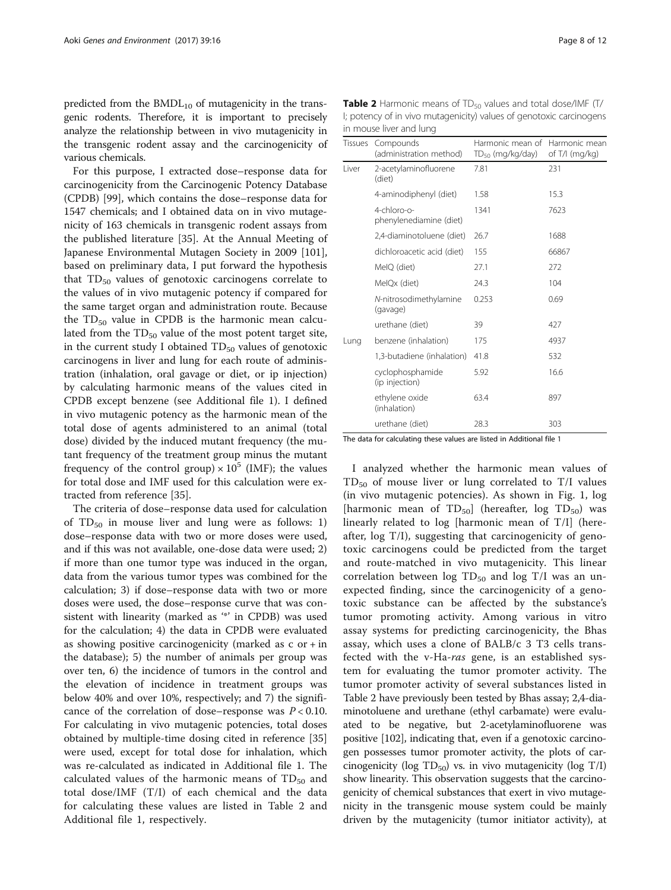predicted from the  $BMDL_{10}$  of mutagenicity in the transgenic rodents. Therefore, it is important to precisely analyze the relationship between in vivo mutagenicity in the transgenic rodent assay and the carcinogenicity of various chemicals.

For this purpose, I extracted dose–response data for carcinogenicity from the Carcinogenic Potency Database (CPDB) [[99\]](#page-11-0), which contains the dose–response data for 1547 chemicals; and I obtained data on in vivo mutagenicity of 163 chemicals in transgenic rodent assays from the published literature [\[35\]](#page-9-0). At the Annual Meeting of Japanese Environmental Mutagen Society in 2009 [\[101](#page-11-0)], based on preliminary data, I put forward the hypothesis that  $TD_{50}$  values of genotoxic carcinogens correlate to the values of in vivo mutagenic potency if compared for the same target organ and administration route. Because the  $TD_{50}$  value in CPDB is the harmonic mean calculated from the  $TD_{50}$  value of the most potent target site, in the current study I obtained  $TD_{50}$  values of genotoxic carcinogens in liver and lung for each route of administration (inhalation, oral gavage or diet, or ip injection) by calculating harmonic means of the values cited in CPDB except benzene (see Additional file [1](#page-8-0)). I defined in vivo mutagenic potency as the harmonic mean of the total dose of agents administered to an animal (total dose) divided by the induced mutant frequency (the mutant frequency of the treatment group minus the mutant frequency of the control group)  $\times 10^5$  (IMF); the values for total dose and IMF used for this calculation were extracted from reference [[35](#page-9-0)].

The criteria of dose–response data used for calculation of  $TD_{50}$  in mouse liver and lung were as follows: 1) dose–response data with two or more doses were used, and if this was not available, one-dose data were used; 2) if more than one tumor type was induced in the organ, data from the various tumor types was combined for the calculation; 3) if dose–response data with two or more doses were used, the dose–response curve that was consistent with linearity (marked as '\*' in CPDB) was used for the calculation; 4) the data in CPDB were evaluated as showing positive carcinogenicity (marked as  $c$  or  $+$  in the database); 5) the number of animals per group was over ten, 6) the incidence of tumors in the control and the elevation of incidence in treatment groups was below 40% and over 10%, respectively; and 7) the significance of the correlation of dose–response was  $P < 0.10$ . For calculating in vivo mutagenic potencies, total doses obtained by multiple-time dosing cited in reference [[35](#page-9-0)] were used, except for total dose for inhalation, which was re-calculated as indicated in Additional file [1](#page-8-0). The calculated values of the harmonic means of  $TD_{50}$  and total dose/IMF (T/I) of each chemical and the data for calculating these values are listed in Table 2 and Additional file [1](#page-8-0), respectively.

| <b>Table 2</b> Harmonic means of $TD_{50}$ values and total dose/IMF $(T/$ |
|----------------------------------------------------------------------------|
| I; potency of in vivo mutagenicity) values of genotoxic carcinogens        |
| in mouse liver and lung                                                    |

| Tissues | Compounds<br>(administration method)   | Harmonic mean of<br>$TD_{50}$ (mg/kg/day) | Harmonic mean<br>of T/I (mg/kg) |
|---------|----------------------------------------|-------------------------------------------|---------------------------------|
| I iver  | 2-acetylaminofluorene<br>(diet)        | 7.81                                      | 231                             |
|         | 4-aminodiphenyl (diet)                 | 1.58                                      | 15.3                            |
|         | 4-chloro-o-<br>phenylenediamine (diet) | 1341                                      | 7623                            |
|         | 2,4-diaminotoluene (diet)              | 26.7                                      | 1688                            |
|         | dichloroacetic acid (diet)             | 155                                       | 66867                           |
|         | MeIQ (diet)                            | 27.1                                      | 272                             |
|         | MelQx (diet)                           | 24.3                                      | 104                             |
|         | N-nitrosodimethylamine<br>(gavage)     | 0.253                                     | 0.69                            |
|         | urethane (diet)                        | 39                                        | 427                             |
| Lung    | benzene (inhalation)                   | 175                                       | 4937                            |
|         | 1,3-butadiene (inhalation)             | 41.8                                      | 532                             |
|         | cyclophosphamide<br>(ip injection)     | 5.92                                      | 16.6                            |
|         | ethylene oxide<br>(inhalation)         | 63.4                                      | 897                             |
|         | urethane (diet)                        | 28.3                                      | 303                             |

The data for calculating these values are listed in Additional file [1](#page-8-0)

I analyzed whether the harmonic mean values of  $TD_{50}$  of mouse liver or lung correlated to  $T/I$  values (in vivo mutagenic potencies). As shown in Fig. [1,](#page-8-0) log [harmonic mean of  $TD_{50}$ ] (hereafter, log  $TD_{50}$ ) was linearly related to log [harmonic mean of T/I] (hereafter, log T/I), suggesting that carcinogenicity of genotoxic carcinogens could be predicted from the target and route-matched in vivo mutagenicity. This linear correlation between log  $TD_{50}$  and log T/I was an unexpected finding, since the carcinogenicity of a genotoxic substance can be affected by the substance's tumor promoting activity. Among various in vitro assay systems for predicting carcinogenicity, the Bhas assay, which uses a clone of BALB/c 3 T3 cells transfected with the v-Ha-ras gene, is an established system for evaluating the tumor promoter activity. The tumor promoter activity of several substances listed in Table 2 have previously been tested by Bhas assay; 2,4-diaminotoluene and urethane (ethyl carbamate) were evaluated to be negative, but 2-acetylaminofluorene was positive [\[102\]](#page-11-0), indicating that, even if a genotoxic carcinogen possesses tumor promoter activity, the plots of carcinogenicity (log TD $_{50}$ ) vs. in vivo mutagenicity (log T/I) show linearity. This observation suggests that the carcinogenicity of chemical substances that exert in vivo mutagenicity in the transgenic mouse system could be mainly driven by the mutagenicity (tumor initiator activity), at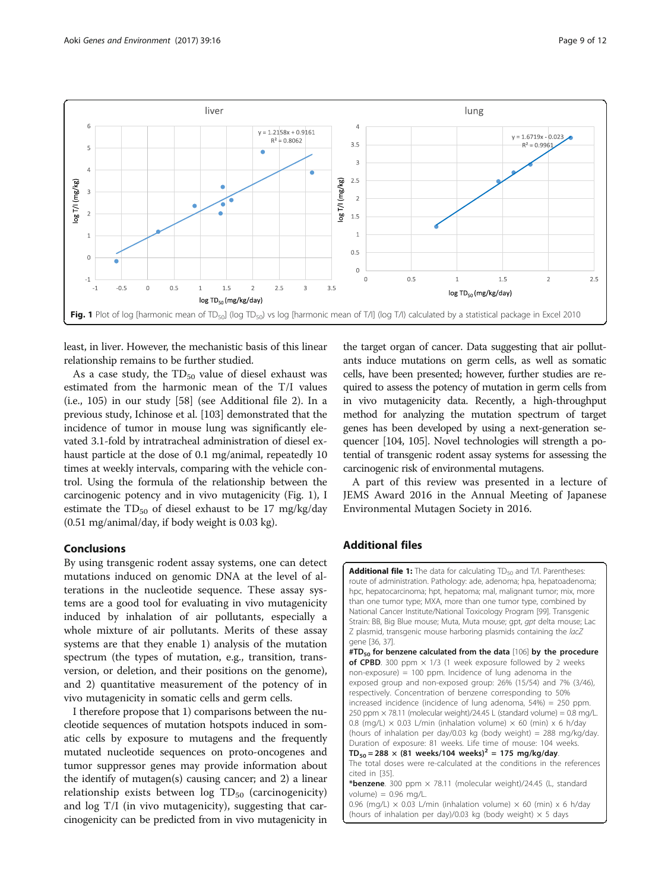<span id="page-8-0"></span>

least, in liver. However, the mechanistic basis of this linear relationship remains to be further studied.

As a case study, the  $TD_{50}$  value of diesel exhaust was estimated from the harmonic mean of the T/I values (i.e., 105) in our study [[58](#page-10-0)] (see Additional file [2\)](#page-9-0). In a previous study, Ichinose et al. [\[103\]](#page-11-0) demonstrated that the incidence of tumor in mouse lung was significantly elevated 3.1-fold by intratracheal administration of diesel exhaust particle at the dose of 0.1 mg/animal, repeatedly 10 times at weekly intervals, comparing with the vehicle control. Using the formula of the relationship between the carcinogenic potency and in vivo mutagenicity (Fig. 1), I estimate the  $TD_{50}$  of diesel exhaust to be 17 mg/kg/day (0.51 mg/animal/day, if body weight is 0.03 kg).

#### Conclusions

By using transgenic rodent assay systems, one can detect mutations induced on genomic DNA at the level of alterations in the nucleotide sequence. These assay systems are a good tool for evaluating in vivo mutagenicity induced by inhalation of air pollutants, especially a whole mixture of air pollutants. Merits of these assay systems are that they enable 1) analysis of the mutation spectrum (the types of mutation, e.g., transition, transversion, or deletion, and their positions on the genome), and 2) quantitative measurement of the potency of in vivo mutagenicity in somatic cells and germ cells.

I therefore propose that 1) comparisons between the nucleotide sequences of mutation hotspots induced in somatic cells by exposure to mutagens and the frequently mutated nucleotide sequences on proto-oncogenes and tumor suppressor genes may provide information about the identify of mutagen(s) causing cancer; and 2) a linear relationship exists between  $log TD_{50}$  (carcinogenicity) and log T/I (in vivo mutagenicity), suggesting that carcinogenicity can be predicted from in vivo mutagenicity in the target organ of cancer. Data suggesting that air pollutants induce mutations on germ cells, as well as somatic cells, have been presented; however, further studies are required to assess the potency of mutation in germ cells from in vivo mutagenicity data. Recently, a high-throughput method for analyzing the mutation spectrum of target genes has been developed by using a next-generation sequencer [[104, 105\]](#page-11-0). Novel technologies will strength a potential of transgenic rodent assay systems for assessing the carcinogenic risk of environmental mutagens.

A part of this review was presented in a lecture of JEMS Award 2016 in the Annual Meeting of Japanese Environmental Mutagen Society in 2016.

#### Additional files

**[Additional file 1:](dx.doi.org/10.1186/s41021-016-0064-6)** The data for calculating  $TD_{50}$  and  $T/l$ . Parentheses: route of administration. Pathology: ade, adenoma; hpa, hepatoadenoma; hpc, hepatocarcinoma; hpt, hepatoma; mal, malignant tumor; mix, more than one tumor type; MXA, more than one tumor type, combined by National Cancer Institute/National Toxicology Program [99]. Transgenic Strain: BB, Big Blue mouse; Muta, Muta mouse; gpt, gpt delta mouse; Lac Z plasmid, transgenic mouse harboring plasmids containing the lacZ gene [36, 37].  $#TD_{50}$  for benzene calculated from the data [106] by the procedure

of CPBD. 300 ppm  $\times$  1/3 (1 week exposure followed by 2 weeks non-exposure) = 100 ppm. Incidence of lung adenoma in the exposed group and non-exposed group: 26% (15/54) and 7% (3/46), respectively. Concentration of benzene corresponding to 50% increased incidence (incidence of lung adenoma, 54%) = 250 ppm. 250 ppm  $\times$  78.11 (molecular weight)/24.45 L (standard volume) = 0.8 mg/L. 0.8 (mg/L)  $\times$  0.03 L/min (inhalation volume)  $\times$  60 (min)  $\times$  6 h/day (hours of inhalation per day/0.03 kg (body weight) = 288 mg/kg/day. Duration of exposure: 81 weeks. Life time of mouse: 104 weeks.  $TD_{50} = 288 \times (81$  weeks/104 weeks)<sup>2</sup> = 175 mg/kg/day. The total doses were re-calculated at the conditions in the references cited in [35].

\***benzene**. 300 ppm  $\times$  78.11 (molecular weight)/24.45 (L, standard volume) =  $0.96$  mg/L.

0.96 (mg/L)  $\times$  0.03 L/min (inhalation volume)  $\times$  60 (min)  $\times$  6 h/day (hours of inhalation per day)/0.03 kg (body weight)  $\times$  5 days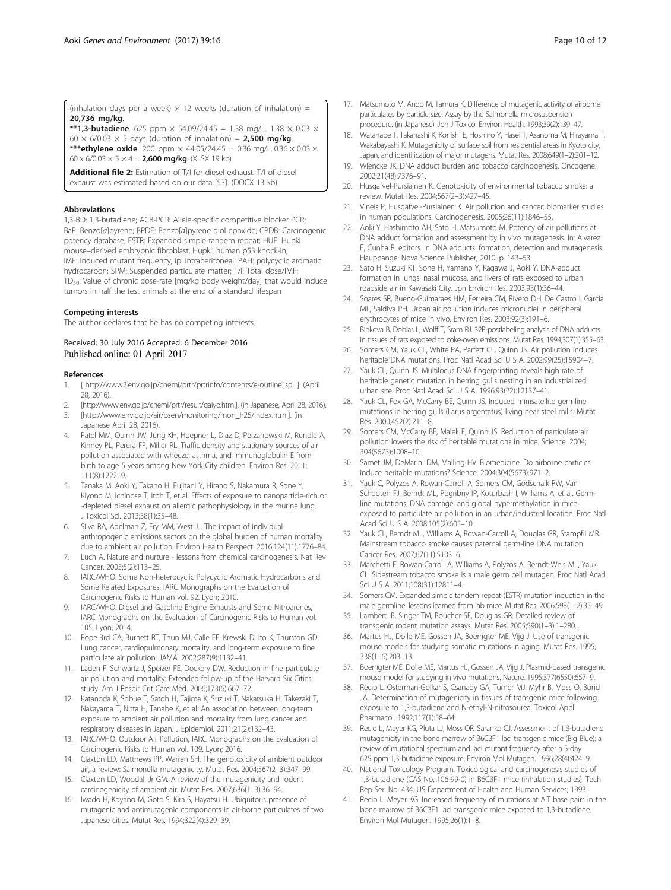<span id="page-9-0"></span>\*\*1,3-butadiene. 625 ppm  $\times$  54.09/24.45 = 1.38 mg/L. 1.38  $\times$  0.03  $\times$ 60  $\times$  6/0.03  $\times$  5 days (duration of inhalation) = 2,500 mg/kg. \*\*\*ethylene oxide. 200 ppm  $\times$  44.05/24.45 = 0.36 mg/L, 0.36  $\times$  0.03  $\times$ 60 x 6/0.03  $\times$  5  $\times$  4 = 2,600 mg/kg. (XLSX 19 kb)

[Additional file 2:](dx.doi.org/10.1186/s41021-016-0064-6) Estimation of T/I for diesel exhaust. T/I of diesel exhaust was estimated based on our data [53]. (DOCX 13 kb)

#### Abbreviations

1,3-BD: 1,3-butadiene; ACB-PCR: Allele-specific competitive blocker PCR; BaP: Benzo[a]pyrene; BPDE: Benzo[a]pyrene diol epoxide; CPDB: Carcinogenic potency database; ESTR: Expanded simple tandem repeat; HUF: Hupki mouse–derived embryonic fibroblast; Hupki: human p53 knock-in; IMF: Induced mutant frequency; ip: Intraperitoneal; PAH: polycyclic aromatic hydrocarbon; SPM: Suspended particulate matter; T/I: Total dose/IMF; TD50: Value of chronic dose-rate [mg/kg body weight/day] that would induce tumors in half the test animals at the end of a standard lifespan

#### Competing interests

The author declares that he has no competing interests.

#### Received: 30 July 2016 Accepted: 6 December 2016 Published online: 01 April 2017

#### References

- 1. [ [http://www2.env.go.jp/chemi/prtr/prtrinfo/contents/e-outline.jsp \]](http://www2.env.go.jp/chemi/prtr/prtrinfo/contents/e-outline.jsp). (April 28, 2016).
- 2. [\[http://www.env.go.jp/chemi/prtr/result/gaiyo.html](http://www.env.go.jp/chemi/prtr/result/gaiyo.html)]. (in Japanese, April 28, 2016). 3. [[http://www.env.go.jp/air/osen/monitoring/mon\\_h25/index.html\]](http://www.env.go.jp/air/osen/monitoring/mon_h25/index.html). (in
- Japanese April 28, 2016).
- 4. Patel MM, Quinn JW, Jung KH, Hoepner L, Diaz D, Perzanowski M, Rundle A, Kinney PL, Perera FP, Miller RL. Traffic density and stationary sources of air pollution associated with wheeze, asthma, and immunoglobulin E from birth to age 5 years among New York City children. Environ Res. 2011; 111(8):1222–9.
- Tanaka M, Aoki Y, Takano H, Fujitani Y, Hirano S, Nakamura R, Sone Y, Kiyono M, Ichinose T, Itoh T, et al. Effects of exposure to nanoparticle-rich or -depleted diesel exhaust on allergic pathophysiology in the murine lung. J Toxicol Sci. 2013;38(1):35–48.
- 6. Silva RA, Adelman Z, Fry MM, West JJ. The impact of individual anthropogenic emissions sectors on the global burden of human mortality due to ambient air pollution. Environ Health Perspect. 2016;124(11):1776–84.
- 7. Luch A. Nature and nurture lessons from chemical carcinogenesis. Nat Rev Cancer. 2005;5(2):113–25.
- 8. IARC/WHO. Some Non-heterocyclic Polycyclic Aromatic Hydrocarbons and Some Related Exposures, IARC Monographs on the Evaluation of Carcinogenic Risks to Human vol. 92. Lyon; 2010.
- 9. IARC/WHO. Diesel and Gasoline Engine Exhausts and Some Nitroarenes, IARC Monographs on the Evaluation of Carcinogenic Risks to Human vol. 105. Lyon; 2014.
- 10. Pope 3rd CA, Burnett RT, Thun MJ, Calle EE, Krewski D, Ito K, Thurston GD. Lung cancer, cardiopulmonary mortality, and long-term exposure to fine particulate air pollution. JAMA. 2002;287(9):1132–41.
- 11. Laden F, Schwartz J, Speizer FE, Dockery DW. Reduction in fine particulate air pollution and mortality: Extended follow-up of the Harvard Six Cities study. Am J Respir Crit Care Med. 2006;173(6):667–72.
- 12. Katanoda K, Sobue T, Satoh H, Tajima K, Suzuki T, Nakatsuka H, Takezaki T, Nakayama T, Nitta H, Tanabe K, et al. An association between long-term exposure to ambient air pollution and mortality from lung cancer and respiratory diseases in Japan. J Epidemiol. 2011;21(2):132–43.
- 13. IARC/WHO. Outdoor Air Pollution, IARC Monographs on the Evaluation of Carcinogenic Risks to Human vol. 109. Lyon; 2016.
- 14. Claxton LD, Matthews PP, Warren SH. The genotoxicity of ambient outdoor air, a review: Salmonella mutagenicity. Mutat Res. 2004;567(2–3):347–99.
- 15. Claxton LD, Woodall Jr GM. A review of the mutagenicity and rodent carcinogenicity of ambient air. Mutat Res. 2007;636(1–3):36–94.
- 16. Iwado H, Koyano M, Goto S, Kira S, Hayatsu H. Ubiquitous presence of mutagenic and antimutagenic components in air-borne particulates of two Japanese cities. Mutat Res. 1994;322(4):329–39.
- 17. Matsumoto M, Ando M, Tamura K. Difference of mutagenic activity of airborne particulates by particle size: Assay by the Salmonella microsuspension procedure. (in Japanese). Jpn J Toxicol Environ Health. 1993;39(2):139–47.
- 18. Watanabe T, Takahashi K, Konishi E, Hoshino Y, Hasei T, Asanoma M, Hirayama T, Wakabayashi K. Mutagenicity of surface soil from residential areas in Kyoto city, Japan, and identification of major mutagens. Mutat Res. 2008;649(1–2):201–12.
- 19. Wiencke JK. DNA adduct burden and tobacco carcinogenesis. Oncogene. 2002;21(48):7376–91.
- 20. Husgafvel-Pursiainen K. Genotoxicity of environmental tobacco smoke: a review. Mutat Res. 2004;567(2–3):427–45.
- Vineis P, Husgafvel-Pursiainen K. Air pollution and cancer: biomarker studies in human populations. Carcinogenesis. 2005;26(11):1846–55.
- 22. Aoki Y, Hashimoto AH, Sato H, Matsumoto M. Potency of air pollutions at DNA adduct formation and assessment by in vivo mutagenesis. In: Alvarez E, Cunha R, editors. In DNA adducts: formation, detection and mutagenesis. Hauppange: Nova Science Publisher; 2010. p. 143–53.
- 23. Sato H, Suzuki KT, Sone H, Yamano Y, Kagawa J, Aoki Y. DNA-adduct formation in lungs, nasal mucosa, and livers of rats exposed to urban roadside air in Kawasaki City. Jpn Environ Res. 2003;93(1):36–44.
- 24. Soares SR, Bueno-Guimaraes HM, Ferreira CM, Rivero DH, De Castro I, Garcia ML, Saldiva PH. Urban air pollution induces micronuclei in peripheral erythrocytes of mice in vivo. Environ Res. 2003;92(3):191–6.
- 25. Binkova B, Dobias L, Wolff T, Sram RJ. 32P-postlabeling analysis of DNA adducts in tissues of rats exposed to coke-oven emissions. Mutat Res. 1994;307(1):355–63.
- Somers CM, Yauk CL, White PA, Parfett CL, Quinn JS. Air pollution induces heritable DNA mutations. Proc Natl Acad Sci U S A. 2002;99(25):15904–7.
- 27. Yauk CL, Quinn JS. Multilocus DNA fingerprinting reveals high rate of heritable genetic mutation in herring gulls nesting in an industrialized urban site. Proc Natl Acad Sci U S A. 1996;93(22):12137–41.
- 28. Yauk CL, Fox GA, McCarry BE, Quinn JS. Induced minisatellite germline mutations in herring gulls (Larus argentatus) living near steel mills. Mutat Res. 2000;452(2):211–8.
- 29. Somers CM, McCarry BE, Malek F, Quinn JS. Reduction of particulate air pollution lowers the risk of heritable mutations in mice. Science. 2004; 304(5673):1008–10.
- 30. Samet JM, DeMarini DM, Malling HV. Biomedicine. Do airborne particles induce heritable mutations? Science. 2004;304(5673):971–2.
- 31. Yauk C, Polyzos A, Rowan-Carroll A, Somers CM, Godschalk RW, Van Schooten FJ, Berndt ML, Pogribny IP, Koturbash I, Williams A, et al. Germline mutations, DNA damage, and global hypermethylation in mice exposed to particulate air pollution in an urban/industrial location. Proc Natl Acad Sci U S A. 2008;105(2):605–10.
- 32. Yauk CL, Berndt ML, Williams A, Rowan-Carroll A, Douglas GR, Stampfli MR. Mainstream tobacco smoke causes paternal germ-line DNA mutation. Cancer Res. 2007;67(11):5103–6.
- 33. Marchetti F, Rowan-Carroll A, Williams A, Polyzos A, Berndt-Weis ML, Yauk CL. Sidestream tobacco smoke is a male germ cell mutagen. Proc Natl Acad Sci U S A. 2011;108(31):12811–4.
- 34. Somers CM. Expanded simple tandem repeat (ESTR) mutation induction in the male germline: lessons learned from lab mice. Mutat Res. 2006;598(1–2):35–49.
- 35. Lambert IB, Singer TM, Boucher SE, Douglas GR. Detailed review of transgenic rodent mutation assays. Mutat Res. 2005;590(1–3):1–280.
- 36. Martus HJ, Dolle ME, Gossen JA, Boerrigter ME, Vijg J. Use of transgenic mouse models for studying somatic mutations in aging. Mutat Res. 1995; 338(1–6):203–13.
- 37. Boerrigter ME, Dolle ME, Martus HJ, Gossen JA, Vijg J. Plasmid-based transgenic mouse model for studying in vivo mutations. Nature. 1995;377(6550):657–9.
- 38. Recio L, Osterman-Golkar S, Csanady GA, Turner MJ, Myhr B, Moss O, Bond JA. Determination of mutagenicity in tissues of transgenic mice following exposure to 1,3-butadiene and N-ethyl-N-nitrosourea. Toxicol Appl Pharmacol. 1992;117(1):58–64.
- 39. Recio L, Meyer KG, Pluta LJ, Moss OR, Saranko CJ. Assessment of 1,3-butadiene mutagenicity in the bone marrow of B6C3F1 lacI transgenic mice (Big Blue): a review of mutational spectrum and lacI mutant frequency after a 5-day 625 ppm 1,3-butadiene exposure. Environ Mol Mutagen. 1996;28(4):424–9.
- 40. National Toxicology Program. Toxicological and carcinogenesis studies of 1,3-butadiene (CAS No. 106-99-0) in B6C3F1 mice (inhalation studies). Tech Rep Ser. No. 434. US Department of Health and Human Services; 1993.
- 41. Recio L, Meyer KG. Increased frequency of mutations at A:T base pairs in the bone marrow of B6C3F1 lacI transgenic mice exposed to 1,3-butadiene. Environ Mol Mutagen. 1995;26(1):1–8.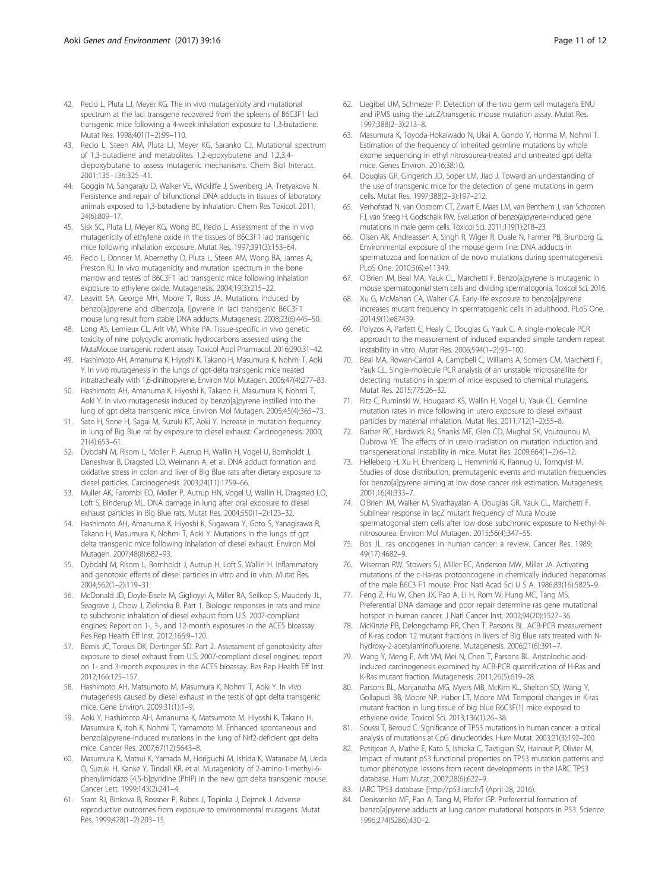- <span id="page-10-0"></span>42. Recio L, Pluta LJ, Meyer KG. The in vivo mutagenicity and mutational spectrum at the lacI transgene recovered from the spleens of B6C3F1 lacI transgenic mice following a 4-week inhalation exposure to 1,3-butadiene. Mutat Res. 1998;401(1–2):99–110.
- 43. Recio L, Steen AM, Pluta LJ, Meyer KG, Saranko CJ. Mutational spectrum of 1,3-butadiene and metabolites 1,2-epoxybutene and 1,2,3,4 diepoxybutane to assess mutagenic mechanisms. Chem Biol Interact. 2001;135–136:325–41.
- 44. Goggin M, Sangaraju D, Walker VE, Wickliffe J, Swenberg JA, Tretyakova N. Persistence and repair of bifunctional DNA adducts in tissues of laboratory animals exposed to 1,3-butadiene by inhalation. Chem Res Toxicol. 2011; 24(6):809–17.
- 45. Sisk SC, Pluta LJ, Meyer KG, Wong BC, Recio L. Assessment of the in vivo mutagenicity of ethylene oxide in the tissues of B6C3F1 lacI transgenic mice following inhalation exposure. Mutat Res. 1997;391(3):153–64.
- 46. Recio L, Donner M, Abernethy D, Pluta L, Steen AM, Wong BA, James A, Preston RJ. In vivo mutagenicity and mutation spectrum in the bone marrow and testes of B6C3F1 lacI transgenic mice following inhalation exposure to ethylene oxide. Mutagenesis. 2004;19(3):215–22.
- 47. Leavitt SA, George MH, Moore T, Ross JA. Mutations induced by benzo[a]pyrene and dibenzo[a, l]pyrene in lacI transgenic B6C3F1 mouse lung result from stable DNA adducts. Mutagenesis. 2008;23(6):445–50.
- 48. Long AS, Lemieux CL, Arlt VM, White PA. Tissue-specific in vivo genetic toxicity of nine polycyclic aromatic hydrocarbons assessed using the MutaMouse transgenic rodent assay. Toxicol Appl Pharmacol. 2016;290:31–42.
- 49. Hashimoto AH, Amanuma K, Hiyoshi K, Takano H, Masumura K, Nohmi T, Aoki Y. In vivo mutagenesis in the lungs of gpt-delta transgenic mice treated intratracheally with 1,6-dinitropyrene. Environ Mol Mutagen. 2006;47(4):277–83.
- 50. Hashimoto AH, Amanuma K, Hiyoshi K, Takano H, Masumura K, Nohmi T, Aoki Y. In vivo mutagenesis induced by benzo[a]pyrene instilled into the lung of gpt delta transgenic mice. Environ Mol Mutagen. 2005;45(4):365–73.
- 51. Sato H, Sone H, Sagai M, Suzuki KT, Aoki Y. Increase in mutation frequency in lung of Big Blue rat by exposure to diesel exhaust. Carcinogenesis. 2000; 21(4):653–61.
- 52. Dybdahl M, Risom L, Moller P, Autrup H, Wallin H, Vogel U, Bornholdt J, Daneshvar B, Dragsted LO, Weimann A, et al. DNA adduct formation and oxidative stress in colon and liver of Big Blue rats after dietary exposure to diesel particles. Carcinogenesis. 2003;24(11):1759–66.
- 53. Muller AK, Farombi EO, Moller P, Autrup HN, Vogel U, Wallin H, Dragsted LO, Loft S, Binderup ML. DNA damage in lung after oral exposure to diesel exhaust particles in Big Blue rats. Mutat Res. 2004;550(1–2):123–32.
- 54. Hashimoto AH, Amanuma K, Hiyoshi K, Sugawara Y, Goto S, Yanagisawa R, Takano H, Masumura K, Nohmi T, Aoki Y. Mutations in the lungs of gpt delta transgenic mice following inhalation of diesel exhaust. Environ Mol Mutagen. 2007;48(8):682–93.
- 55. Dybdahl M, Risom L, Bornholdt J, Autrup H, Loft S, Wallin H. Inflammatory and genotoxic effects of diesel particles in vitro and in vivo. Mutat Res. 2004;562(1–2):119–31.
- 56. McDonald JD, Doyle-Eisele M, Giglioyyi A, Miller RA, Seilkop S, Mauderly JL, Seagrave J, Chow J, Zielinska B. Part 1. Biologic responses in rats and mice tp subchronic inhalation of diesel exhaust from U.S. 2007-compliant engines: Report on 1-, 3-, and 12-month exposures in the ACES bioassay. Res Rep Health Eff Inst. 2012;166:9–120.
- 57. Bemis JC, Torous DK, Dertinger SD. Part 2. Assessment of genotoxicity after exposure to diesel exhaust from U.S. 2007-compliant diesel engines: report on 1- and 3-month exposures in the ACES bioassay. Res Rep Health Eff Inst. 2012;166:125–157.
- 58. Hashimoto AH, Matsumoto M, Masumura K, Nohmi T, Aoki Y. In vivo mutagenesis caused by diesel exhaust in the testis of gpt delta transgenic mice. Gene Environ. 2009;31(1):1–9.
- 59. Aoki Y, Hashimoto AH, Amanuma K, Matsumoto M, Hiyoshi K, Takano H, Masumura K, Itoh K, Nohmi T, Yamamoto M. Enhanced spontaneous and benzo(a)pyrene-induced mutations in the lung of Nrf2-deficient gpt delta mice. Cancer Res. 2007;67(12):5643–8.
- 60. Masumura K, Matsui K, Yamada M, Horiguchi M, Ishida K, Watanabe M, Ueda O, Suzuki H, Kanke Y, Tindall KR, et al. Mutagenicity of 2-amino-1-methyl-6 phenylimidazo [4,5-b]pyridine (PhIP) in the new gpt delta transgenic mouse. Cancer Lett. 1999;143(2):241–4.
- 61. Sram RJ, Binkova B, Rossner P, Rubes J, Topinka J, Dejmek J. Adverse reproductive outcomes from exposure to environmental mutagens. Mutat Res. 1999;428(1–2):203–15.
- 62. Liegibel UM, Schmezer P. Detection of the two germ cell mutagens ENU and iPMS using the LacZ/transgenic mouse mutation assay. Mutat Res. 1997;388(2–3):213–8.
- 63. Masumura K, Toyoda-Hokaiwado N, Ukai A, Gondo Y, Honma M, Nohmi T. Estimation of the frequency of inherited germline mutations by whole exome sequencing in ethyl nitrosourea-treated and untreated gpt delta mice. Genes Environ. 2016;38:10.
- 64. Douglas GR, Gingerich JD, Soper LM, Jiao J. Toward an understanding of the use of transgenic mice for the detection of gene mutations in germ cells. Mutat Res. 1997;388(2–3):197–212.
- 65. Verhofstad N, van Oostrom CT, Zwart E, Maas LM, van Benthem J, van Schooten FJ, van Steeg H, Godschalk RW. Evaluation of benzo(a)pyrene-induced gene mutations in male germ cells. Toxicol Sci. 2011;119(1):218–23.
- 66. Olsen AK, Andreassen A, Singh R, Wiger R, Duale N, Farmer PB, Brunborg G. Environmental exposure of the mouse germ line: DNA adducts in spermatozoa and formation of de novo mutations during spermatogenesis. PLoS One. 2010;5(6):e11349.
- 67. O'Brien JM, Beal MA, Yauk CL, Marchetti F. Benzo(a)pyrene is mutagenic in mouse spermatogonial stem cells and dividing spermatogonia. Toxicol Sci. 2016.
- 68. Xu G, McMahan CA, Walter CA. Early-life exposure to benzo[a]pyrene increases mutant frequency in spermatogenic cells in adulthood. PLoS One. 2014;9(1):e87439.
- 69. Polyzos A, Parfett C, Healy C, Douglas G, Yauk C. A single-molecule PCR approach to the measurement of induced expanded simple tandem repeat instability in vitro. Mutat Res. 2006;594(1–2):93–100.
- 70. Beal MA, Rowan-Carroll A, Campbell C, Williams A, Somers CM, Marchetti F, Yauk CL. Single-molecule PCR analysis of an unstable microsatellite for detecting mutations in sperm of mice exposed to chemical mutagens. Mutat Res. 2015;775:26–32.
- 71. Ritz C, Ruminski W, Hougaard KS, Wallin H, Vogel U, Yauk CL. Germline mutation rates in mice following in utero exposure to diesel exhaust particles by maternal inhalation. Mutat Res. 2011;712(1–2):55–8.
- 72. Barber RC, Hardwick RJ, Shanks ME, Glen CD, Mughal SK, Voutounou M, Dubrova YE. The effects of in utero irradiation on mutation induction and transgenerational instability in mice. Mutat Res. 2009;664(1–2):6–12.
- 73. Helleberg H, Xu H, Ehrenberg L, Hemminki K, Rannug U, Tornqvist M. Studies of dose distribution, premutagenic events and mutation frequencies for benzo[a]pyrene aiming at low dose cancer risk estimation. Mutagenesis. 2001;16(4):333–7.
- 74. O'Brien JM, Walker M, Sivathayalan A, Douglas GR, Yauk CL, Marchetti F. Sublinear response in lacZ mutant frequency of Muta Mouse spermatogonial stem cells after low dose subchronic exposure to N-ethyl-Nnitrosourea. Environ Mol Mutagen. 2015;56(4):347–55.
- 75. Bos JL. ras oncogenes in human cancer: a review. Cancer Res. 1989; 49(17):4682–9.
- 76. Wiseman RW, Stowers SJ, Miller EC, Anderson MW, Miller JA. Activating mutations of the c-Ha-ras protooncogene in chemically induced hepatomas of the male B6C3 F1 mouse. Proc Natl Acad Sci U S A. 1986;83(16):5825–9.
- 77. Feng Z, Hu W, Chen JX, Pao A, Li H, Rom W, Hung MC, Tang MS. Preferential DNA damage and poor repair determine ras gene mutational hotspot in human cancer. J Natl Cancer Inst. 2002;94(20):1527–36.
- 78. McKinzie PB, Delongchamp RR, Chen T, Parsons BL. ACB-PCR measurement of K-ras codon 12 mutant fractions in livers of Big Blue rats treated with Nhydroxy-2-acetylaminofluorene. Mutagenesis. 2006;21(6):391–7.
- 79. Wang Y, Meng F, Arlt VM, Mei N, Chen T, Parsons BL. Aristolochic acidinduced carcinogenesis examined by ACB-PCR quantification of H-Ras and K-Ras mutant fraction. Mutagenesis. 2011;26(5):619–28.
- 80. Parsons BL, Manjanatha MG, Myers MB, McKim KL, Shelton SD, Wang Y, Gollapudi BB, Moore NP, Haber LT, Moore MM. Temporal changes in K-ras mutant fraction in lung tissue of big blue B6C3F(1) mice exposed to ethylene oxide. Toxicol Sci. 2013;136(1):26–38.
- 81. Soussi T, Beroud C. Significance of TP53 mutations in human cancer: a critical analysis of mutations at CpG dinucleotides. Hum Mutat. 2003;21(3):192–200.
- 82. Petitjean A, Mathe E, Kato S, Ishioka C, Tavtigian SV, Hainaut P, Olivier M. Impact of mutant p53 functional properties on TP53 mutation patterns and tumor phenotype: lessons from recent developments in the IARC TP53 database. Hum Mutat. 2007;28(6):622–9.
- 83. IARC TP53 database [\[http://p53.iarc.fr/\]](http://p53.iarc.fr/) (April 28, 2016).
- 84. Denissenko MF, Pao A, Tang M, Pfeifer GP. Preferential formation of benzo[a]pyrene adducts at lung cancer mutational hotspots in P53. Science. 1996;274(5286):430–2.